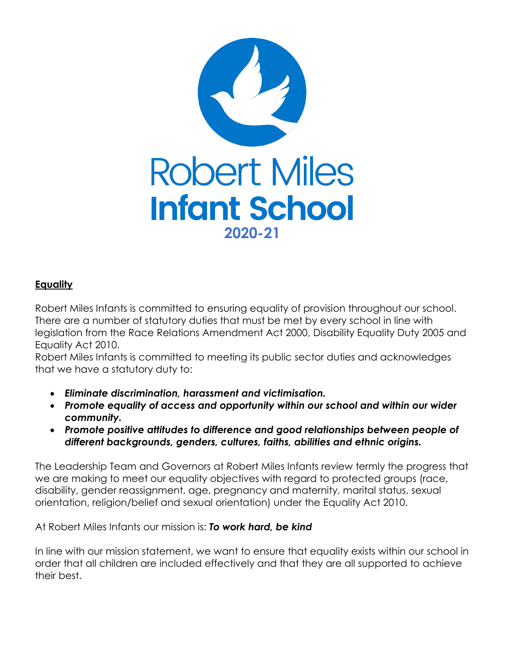

## **Equality**

Robert Miles Infants is committed to ensuring equality of provision throughout our school. There are a number of statutory duties that must be met by every school in line with legislation from the Race Relations Amendment Act 2000, Disability Equality Duty 2005 and Equality Act 2010.

Robert Miles Infants is committed to meeting its public sector duties and acknowledges that we have a statutory duty to:

- *Eliminate discrimination, harassment and victimisation.*
- *Promote equality of access and opportunity within our school and within our wider community.*
- *Promote positive attitudes to difference and good relationships between people of different backgrounds, genders, cultures, faiths, abilities and ethnic origins.*

The Leadership Team and Governors at Robert Miles Infants review termly the progress that we are making to meet our equality objectives with regard to protected groups (race, disability, gender reassignment, age, pregnancy and maternity, marital status, sexual orientation, religion/belief and sexual orientation) under the Equality Act 2010.

At Robert Miles Infants our mission is: *To work hard, be kind*

In line with our mission statement, we want to ensure that equality exists within our school in order that all children are included effectively and that they are all supported to achieve their best.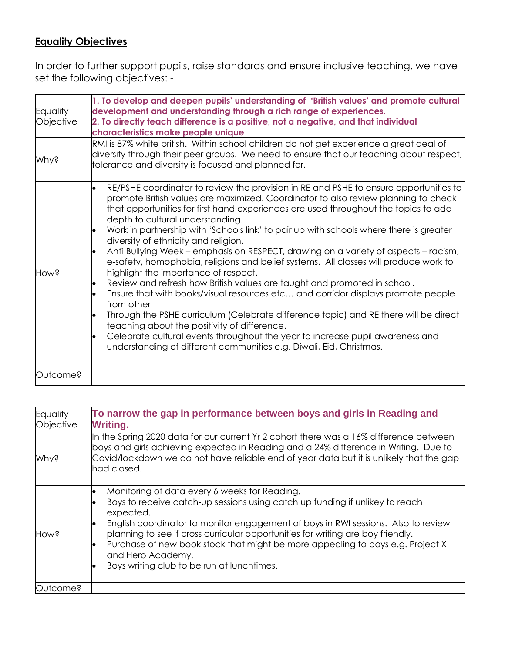## **Equality Objectives**

In order to further support pupils, raise standards and ensure inclusive teaching, we have set the following objectives: -

| Equality<br>Objective | 1. To develop and deepen pupils' understanding of 'British values' and promote cultural<br>development and understanding through a rich range of experiences.<br>2. To directly teach difference is a positive, not a negative, and that individual<br>characteristics make people unique<br>RMI is 87% white british. Within school children do not get experience a great deal of<br>diversity through their peer groups. We need to ensure that our teaching about respect,<br>tolerance and diversity is focused and planned for.                                                                                                                                                                                                                                                                                                                                                                                                                                                                                                                                                                                                                                                                   |  |  |  |
|-----------------------|---------------------------------------------------------------------------------------------------------------------------------------------------------------------------------------------------------------------------------------------------------------------------------------------------------------------------------------------------------------------------------------------------------------------------------------------------------------------------------------------------------------------------------------------------------------------------------------------------------------------------------------------------------------------------------------------------------------------------------------------------------------------------------------------------------------------------------------------------------------------------------------------------------------------------------------------------------------------------------------------------------------------------------------------------------------------------------------------------------------------------------------------------------------------------------------------------------|--|--|--|
|                       |                                                                                                                                                                                                                                                                                                                                                                                                                                                                                                                                                                                                                                                                                                                                                                                                                                                                                                                                                                                                                                                                                                                                                                                                         |  |  |  |
| <b>Mhy?</b>           |                                                                                                                                                                                                                                                                                                                                                                                                                                                                                                                                                                                                                                                                                                                                                                                                                                                                                                                                                                                                                                                                                                                                                                                                         |  |  |  |
| How?                  | RE/PSHE coordinator to review the provision in RE and PSHE to ensure opportunities to<br>l.<br>promote British values are maximized. Coordinator to also review planning to check<br>that opportunities for first hand experiences are used throughout the topics to add<br>depth to cultural understanding.<br>Work in partnership with 'Schools link' to pair up with schools where there is greater<br>$\bullet$<br>diversity of ethnicity and religion.<br>Anti-Bullying Week – emphasis on RESPECT, drawing on a variety of aspects – racism,<br>e-safety, homophobia, religions and belief systems. All classes will produce work to<br>highlight the importance of respect.<br>Review and refresh how British values are taught and promoted in school.<br>$\bullet$<br>Ensure that with books/visual resources etc and corridor displays promote people<br>from other<br>Through the PSHE curriculum (Celebrate difference topic) and RE there will be direct<br>$\bullet$<br>teaching about the positivity of difference.<br>Celebrate cultural events throughout the year to increase pupil awareness and<br>$\bullet$<br>understanding of different communities e.g. Diwali, Eid, Christmas. |  |  |  |
| Outcome?              |                                                                                                                                                                                                                                                                                                                                                                                                                                                                                                                                                                                                                                                                                                                                                                                                                                                                                                                                                                                                                                                                                                                                                                                                         |  |  |  |

| Equality<br>Objective | To narrow the gap in performance between boys and girls in Reading and<br><b>Writing.</b>                                                                                                                                                                                                                                                                                                                                                                               |  |  |  |
|-----------------------|-------------------------------------------------------------------------------------------------------------------------------------------------------------------------------------------------------------------------------------------------------------------------------------------------------------------------------------------------------------------------------------------------------------------------------------------------------------------------|--|--|--|
| <b>Mhy?</b>           | In the Spring 2020 data for our current Yr 2 cohort there was a 16% difference between<br>boys and girls achieving expected in Reading and a 24% difference in Writing. Due to<br>Covid/lockdown we do not have reliable end of year data but it is unlikely that the gap<br>had closed.                                                                                                                                                                                |  |  |  |
| Hows                  | Monitoring of data every 6 weeks for Reading.<br>Boys to receive catch-up sessions using catch up funding if unlikey to reach<br>expected.<br>English coordinator to monitor engagement of boys in RWI sessions. Also to review<br>planning to see if cross curricular opportunities for writing are boy friendly.<br>Purchase of new book stock that might be more appealing to boys e.g. Project X<br>and Hero Academy.<br>Boys writing club to be run at lunchtimes. |  |  |  |
| Outcome?              |                                                                                                                                                                                                                                                                                                                                                                                                                                                                         |  |  |  |